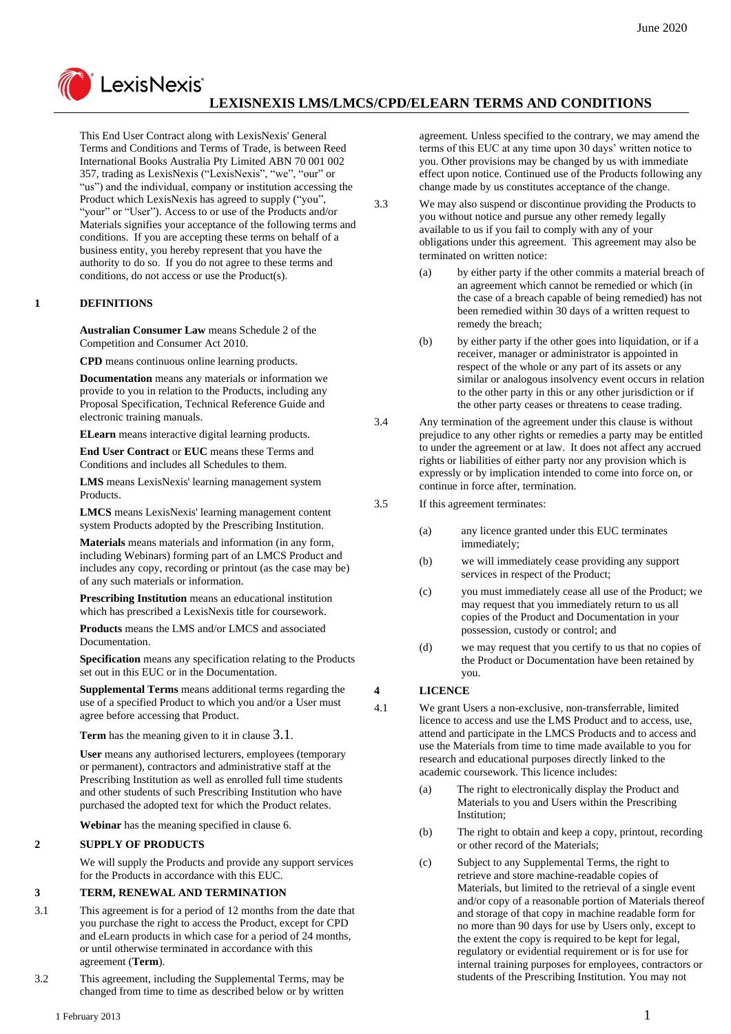

# **LEXISNEXIS LMS/LMCS/CPD/ELEARN TERMS AND CONDITIONS**

This End User Contract along with LexisNexis' General Terms and Conditions and Terms of Trade, is between Reed International Books Australia Pty Limited ABN 70 001 002 357, trading as LexisNexis ("LexisNexis", "we", "our" or "us") and the individual, company or institution accessing the Product which LexisNexis has agreed to supply ("you", "your" or "User"). Access to or use of the Products and/or Materials signifies your acceptance of the following terms and conditions. If you are accepting these terms on behalf of a business entity, you hereby represent that you have the authority to do so. If you do not agree to these terms and conditions, do not access or use the Product(s).

#### **1 DEFINITIONS**

**Australian Consumer Law** means Schedule 2 of the Competition and Consumer Act 2010.

**CPD** means continuous online learning products.

**Documentation** means any materials or information we provide to you in relation to the Products, including any Proposal Specification, Technical Reference Guide and electronic training manuals.

**ELearn** means interactive digital learning products.

**End User Contract** or **EUC** means these Terms and Conditions and includes all Schedules to them.

**LMS** means LexisNexis' learning management system Products.

**LMCS** means LexisNexis' learning management content system Products adopted by the Prescribing Institution.

**Materials** means materials and information (in any form, including Webinars) forming part of an LMCS Product and includes any copy, recording or printout (as the case may be) of any such materials or information.

**Prescribing Institution** means an educational institution which has prescribed a LexisNexis title for coursework.

**Products** means the LMS and/or LMCS and associated Documentation.

**Specification** means any specification relating to the Products set out in this EUC or in the Documentation.

**Supplemental Terms** means additional terms regarding the use of a specified Product to which you and/or a User must agree before accessing that Product.

**Term** has the meaning given to it in clause [3.1](#page-0-0).

**User** means any authorised lecturers, employees (temporary or permanent), contractors and administrative staff at the Prescribing Institution as well as enrolled full time students and other students of such Prescribing Institution who have purchased the adopted text for which the Product relates.

**Webinar** has the meaning specified in clause 6.

### **2 SUPPLY OF PRODUCTS**

We will supply the Products and provide any support services for the Products in accordance with this EUC.

### **3 TERM, RENEWAL AND TERMINATION**

- <span id="page-0-0"></span>3.1 This agreement is for a period of 12 months from the date that you purchase the right to access the Product, except for CPD and eLearn products in which case for a period of 24 months, or until otherwise terminated in accordance with this agreement (**Term**).
- 3.2 This agreement, including the Supplemental Terms, may be changed from time to time as described below or by written

agreement. Unless specified to the contrary, we may amend the terms of this EUC at any time upon 30 days' written notice to you. Other provisions may be changed by us with immediate effect upon notice. Continued use of the Products following any change made by us constitutes acceptance of the change.

3.3 We may also suspend or discontinue providing the Products to you without notice and pursue any other remedy legally available to us if you fail to comply with any of your obligations under this agreement. This agreement may also be terminated on written notice:

- (a) by either party if the other commits a material breach of an agreement which cannot be remedied or which (in the case of a breach capable of being remedied) has not been remedied within 30 days of a written request to remedy the breach;
- (b) by either party if the other goes into liquidation, or if a receiver, manager or administrator is appointed in respect of the whole or any part of its assets or any similar or analogous insolvency event occurs in relation to the other party in this or any other jurisdiction or if the other party ceases or threatens to cease trading.

3.4 Any termination of the agreement under this clause is without prejudice to any other rights or remedies a party may be entitled to under the agreement or at law. It does not affect any accrued rights or liabilities of either party nor any provision which is expressly or by implication intended to come into force on, or continue in force after, termination.

- 3.5 If this agreement terminates:
	- (a) any licence granted under this EUC terminates immediately;
	- (b) we will immediately cease providing any support services in respect of the Product;
	- (c) you must immediately cease all use of the Product; we may request that you immediately return to us all copies of the Product and Documentation in your possession, custody or control; and
	- (d) we may request that you certify to us that no copies of the Product or Documentation have been retained by you.

### **4 LICENCE**

4.1 We grant Users a non-exclusive, non-transferrable, limited licence to access and use the LMS Product and to access, use, attend and participate in the LMCS Products and to access and use the Materials from time to time made available to you for research and educational purposes directly linked to the academic coursework. This licence includes:

- (a) The right to electronically display the Product and Materials to you and Users within the Prescribing Institution;
- (b) The right to obtain and keep a copy, printout, recording or other record of the Materials;
- (c) Subject to any Supplemental Terms, the right to retrieve and store machine-readable copies of Materials, but limited to the retrieval of a single event and/or copy of a reasonable portion of Materials thereof and storage of that copy in machine readable form for no more than 90 days for use by Users only, except to the extent the copy is required to be kept for legal, regulatory or evidential requirement or is for use for internal training purposes for employees, contractors or students of the Prescribing Institution. You may not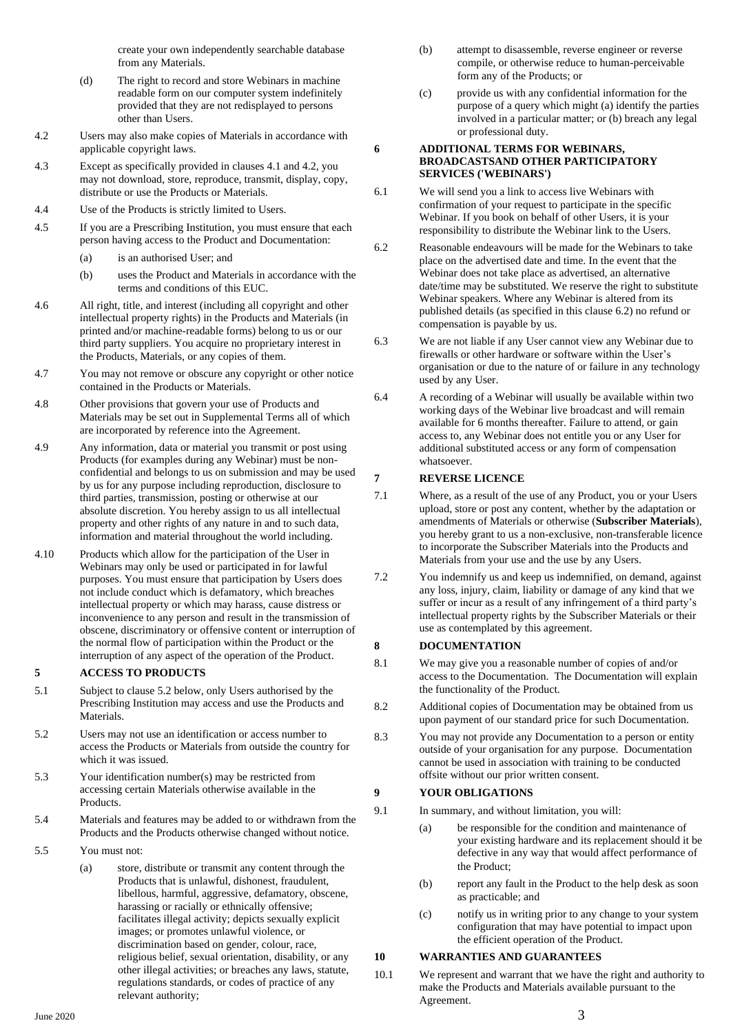create your own independently searchable database from any Materials.

- (d) The right to record and store Webinars in machine readable form on our computer system indefinitely provided that they are not redisplayed to persons other than Users.
- 4.2 Users may also make copies of Materials in accordance with applicable copyright laws.
- 4.3 Except as specifically provided in clauses 4.1 and 4.2, you may not download, store, reproduce, transmit, display, copy, distribute or use the Products or Materials.
- 4.4 Use of the Products is strictly limited to Users.
- 4.5 If you are a Prescribing Institution, you must ensure that each person having access to the Product and Documentation:
	- (a) is an authorised User; and
	- (b) uses the Product and Materials in accordance with the terms and conditions of this EUC.
- 4.6 All right, title, and interest (including all copyright and other intellectual property rights) in the Products and Materials (in printed and/or machine-readable forms) belong to us or our third party suppliers. You acquire no proprietary interest in the Products, Materials, or any copies of them.
- 4.7 You may not remove or obscure any copyright or other notice contained in the Products or Materials.
- 4.8 Other provisions that govern your use of Products and Materials may be set out in Supplemental Terms all of which are incorporated by reference into the Agreement.
- 4.9 Any information, data or material you transmit or post using Products (for examples during any Webinar) must be nonconfidential and belongs to us on submission and may be used by us for any purpose including reproduction, disclosure to third parties, transmission, posting or otherwise at our absolute discretion. You hereby assign to us all intellectual property and other rights of any nature in and to such data, information and material throughout the world including.
- 4.10 Products which allow for the participation of the User in Webinars may only be used or participated in for lawful purposes. You must ensure that participation by Users does not include conduct which is defamatory, which breaches intellectual property or which may harass, cause distress or inconvenience to any person and result in the transmission of obscene, discriminatory or offensive content or interruption of the normal flow of participation within the Product or the interruption of any aspect of the operation of the Product.

## **5 ACCESS TO PRODUCTS**

- 5.1 Subject to clause 5.2 below, only Users authorised by the Prescribing Institution may access and use the Products and Materials.
- 5.2 Users may not use an identification or access number to access the Products or Materials from outside the country for which it was issued.
- 5.3 Your identification number(s) may be restricted from accessing certain Materials otherwise available in the **Products**
- 5.4 Materials and features may be added to or withdrawn from the Products and the Products otherwise changed without notice.
- 5.5 You must not:
	- (a) store, distribute or transmit any content through the Products that is unlawful, dishonest, fraudulent, libellous, harmful, aggressive, defamatory, obscene, harassing or racially or ethnically offensive; facilitates illegal activity; depicts sexually explicit images; or promotes unlawful violence, or discrimination based on gender, colour, race, religious belief, sexual orientation, disability, or any other illegal activities; or breaches any laws, statute, regulations standards, or codes of practice of any relevant authority;
- (b) attempt to disassemble, reverse engineer or reverse compile, or otherwise reduce to human-perceivable form any of the Products; or
- (c) provide us with any confidential information for the purpose of a query which might (a) identify the parties involved in a particular matter; or (b) breach any legal or professional duty.

### **6 ADDITIONAL TERMS FOR WEBINARS, BROADCASTSAND OTHER PARTICIPATORY SERVICES ('WEBINARS')**

- 6.1 We will send you a link to access live Webinars with confirmation of your request to participate in the specific Webinar. If you book on behalf of other Users, it is your responsibility to distribute the Webinar link to the Users.
- 6.2 Reasonable endeavours will be made for the Webinars to take place on the advertised date and time. In the event that the Webinar does not take place as advertised, an alternative date/time may be substituted. We reserve the right to substitute Webinar speakers. Where any Webinar is altered from its published details (as specified in this clause 6.2) no refund or compensation is payable by us.
- 6.3 We are not liable if any User cannot view any Webinar due to firewalls or other hardware or software within the User's organisation or due to the nature of or failure in any technology used by any User.
- 6.4 A recording of a Webinar will usually be available within two working days of the Webinar live broadcast and will remain available for 6 months thereafter. Failure to attend, or gain access to, any Webinar does not entitle you or any User for additional substituted access or any form of compensation whatsoever.

### **7 REVERSE LICENCE**

- 7.1 Where, as a result of the use of any Product, you or your Users upload, store or post any content, whether by the adaptation or amendments of Materials or otherwise (**Subscriber Materials**), you hereby grant to us a non-exclusive, non-transferable licence to incorporate the Subscriber Materials into the Products and Materials from your use and the use by any Users.
- 7.2 You indemnify us and keep us indemnified, on demand, against any loss, injury, claim, liability or damage of any kind that we suffer or incur as a result of any infringement of a third party's intellectual property rights by the Subscriber Materials or their use as contemplated by this agreement.

### **8 DOCUMENTATION**

- 8.1 We may give you a reasonable number of copies of and/or access to the Documentation. The Documentation will explain the functionality of the Product.
- 8.2 Additional copies of Documentation may be obtained from us upon payment of our standard price for such Documentation.
- 8.3 You may not provide any Documentation to a person or entity outside of your organisation for any purpose. Documentation cannot be used in association with training to be conducted offsite without our prior written consent.

### **9 YOUR OBLIGATIONS**

- 9.1 In summary, and without limitation, you will:
	- (a) be responsible for the condition and maintenance of your existing hardware and its replacement should it be defective in any way that would affect performance of the Product;
	- (b) report any fault in the Product to the help desk as soon as practicable; and
	- (c) notify us in writing prior to any change to your system configuration that may have potential to impact upon the efficient operation of the Product.

### **10 WARRANTIES AND GUARANTEES**

<span id="page-1-0"></span>10.1 We represent and warrant that we have the right and authority to make the Products and Materials available pursuant to the Agreement.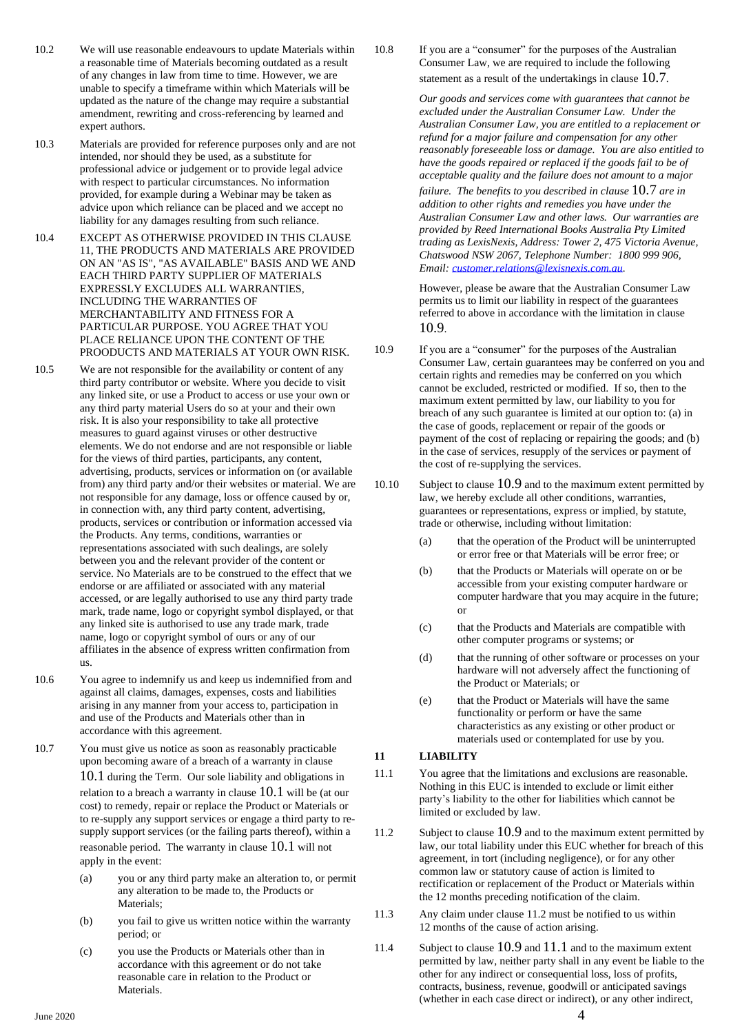- 10.2 We will use reasonable endeavours to update Materials within a reasonable time of Materials becoming outdated as a result of any changes in law from time to time. However, we are unable to specify a timeframe within which Materials will be updated as the nature of the change may require a substantial amendment, rewriting and cross-referencing by learned and expert authors.
- 10.3 Materials are provided for reference purposes only and are not intended, nor should they be used, as a substitute for professional advice or judgement or to provide legal advice with respect to particular circumstances. No information provided, for example during a Webinar may be taken as advice upon which reliance can be placed and we accept no liability for any damages resulting from such reliance.
- 10.4 EXCEPT AS OTHERWISE PROVIDED IN THIS CLAUSE 11, THE PRODUCTS AND MATERIALS ARE PROVIDED ON AN "AS IS", "AS AVAILABLE" BASIS AND WE AND EACH THIRD PARTY SUPPLIER OF MATERIALS EXPRESSLY EXCLUDES ALL WARRANTIES, INCLUDING THE WARRANTIES OF MERCHANTABILITY AND FITNESS FOR A PARTICULAR PURPOSE. YOU AGREE THAT YOU PLACE RELIANCE UPON THE CONTENT OF THE PROODUCTS AND MATERIALS AT YOUR OWN RISK.
- 10.5 We are not responsible for the availability or content of any third party contributor or website. Where you decide to visit any linked site, or use a Product to access or use your own or any third party material Users do so at your and their own risk. It is also your responsibility to take all protective measures to guard against viruses or other destructive elements. We do not endorse and are not responsible or liable for the views of third parties, participants, any content, advertising, products, services or information on (or available from) any third party and/or their websites or material. We are not responsible for any damage, loss or offence caused by or, in connection with, any third party content, advertising, products, services or contribution or information accessed via the Products. Any terms, conditions, warranties or representations associated with such dealings, are solely between you and the relevant provider of the content or service. No Materials are to be construed to the effect that we endorse or are affiliated or associated with any material accessed, or are legally authorised to use any third party trade mark, trade name, logo or copyright symbol displayed, or that any linked site is authorised to use any trade mark, trade name, logo or copyright symbol of ours or any of our affiliates in the absence of express written confirmation from us.
- 10.6 You agree to indemnify us and keep us indemnified from and against all claims, damages, expenses, costs and liabilities arising in any manner from your access to, participation in and use of the Products and Materials other than in accordance with this agreement.
- <span id="page-2-0"></span>10.7 You must give us notice as soon as reasonably practicable upon becoming aware of a breach of a warranty in clause [10.1](#page-1-0) during the Term. Our sole liability and obligations in relation to a breach a warranty in clause [10.1](#page-1-0) will be (at our cost) to remedy, repair or replace the Product or Materials or to re-supply any support services or engage a third party to resupply support services (or the failing parts thereof), within a reasonable period. The warranty in clause [10.1](#page-1-0) will not apply in the event:
	- (a) you or any third party make an alteration to, or permit any alteration to be made to, the Products or Materials;
	- (b) you fail to give us written notice within the warranty period; or
	- (c) you use the Products or Materials other than in accordance with this agreement or do not take reasonable care in relation to the Product or Materials.

10.8 If you are a "consumer" for the purposes of the Australian Consumer Law, we are required to include the following statement as a result of the undertakings in clause [10.7](#page-2-0).

> *Our goods and services come with guarantees that cannot be excluded under the Australian Consumer Law. Under the Australian Consumer Law, you are entitled to a replacement or refund for a major failure and compensation for any other reasonably foreseeable loss or damage. You are also entitled to have the goods repaired or replaced if the goods fail to be of acceptable quality and the failure does not amount to a major*

*failure. The benefits to you described in clause* [10.7](#page-2-0) *are in addition to other rights and remedies you have under the Australian Consumer Law and other laws. Our warranties are provided by Reed International Books Australia Pty Limited trading as LexisNexis, Address: Tower 2, 475 Victoria Avenue, Chatswood NSW 2067, Telephone Number: 1800 999 906, Email[: customer.relations@lexisnexis.com.au.](mailto:customer.relations@lexisnexis.com.au)*

However, please be aware that the Australian Consumer Law permits us to limit our liability in respect of the guarantees referred to above in accordance with the limitation in clause [10.9](#page-2-1).

- <span id="page-2-1"></span>10.9 If you are a "consumer" for the purposes of the Australian Consumer Law, certain guarantees may be conferred on you and certain rights and remedies may be conferred on you which cannot be excluded, restricted or modified. If so, then to the maximum extent permitted by law, our liability to you for breach of any such guarantee is limited at our option to: (a) in the case of goods, replacement or repair of the goods or payment of the cost of replacing or repairing the goods; and (b) in the case of services, resupply of the services or payment of the cost of re-supplying the services.
- 10.10 Subject to clause [10.9](#page-2-1) and to the maximum extent permitted by law, we hereby exclude all other conditions, warranties, guarantees or representations, express or implied, by statute, trade or otherwise, including without limitation:
	- (a) that the operation of the Product will be uninterrupted or error free or that Materials will be error free; or
	- (b) that the Products or Materials will operate on or be accessible from your existing computer hardware or computer hardware that you may acquire in the future; or
	- (c) that the Products and Materials are compatible with other computer programs or systems; or
	- (d) that the running of other software or processes on your hardware will not adversely affect the functioning of the Product or Materials; or
	- (e) that the Product or Materials will have the same functionality or perform or have the same characteristics as any existing or other product or materials used or contemplated for use by you.

### <span id="page-2-4"></span>**11 LIABILITY**

- <span id="page-2-3"></span>11.1 You agree that the limitations and exclusions are reasonable. Nothing in this EUC is intended to exclude or limit either party's liability to the other for liabilities which cannot be limited or excluded by law.
- 11.2 Subject to clause [10.9](#page-2-1) and to the maximum extent permitted by law, our total liability under this EUC whether for breach of this agreement, in tort (including negligence), or for any other common law or statutory cause of action is limited to rectification or replacement of the Product or Materials within the 12 months preceding notification of the claim.
- <span id="page-2-2"></span>11.3 Any claim under clause [11.2](#page-2-2) must be notified to us within 12 months of the cause of action arising.
- 11.4 Subject to clause [10.9](#page-2-1) and [11.1](#page-2-3) and to the maximum extent permitted by law, neither party shall in any event be liable to the other for any indirect or consequential loss, loss of profits, contracts, business, revenue, goodwill or anticipated savings (whether in each case direct or indirect), or any other indirect,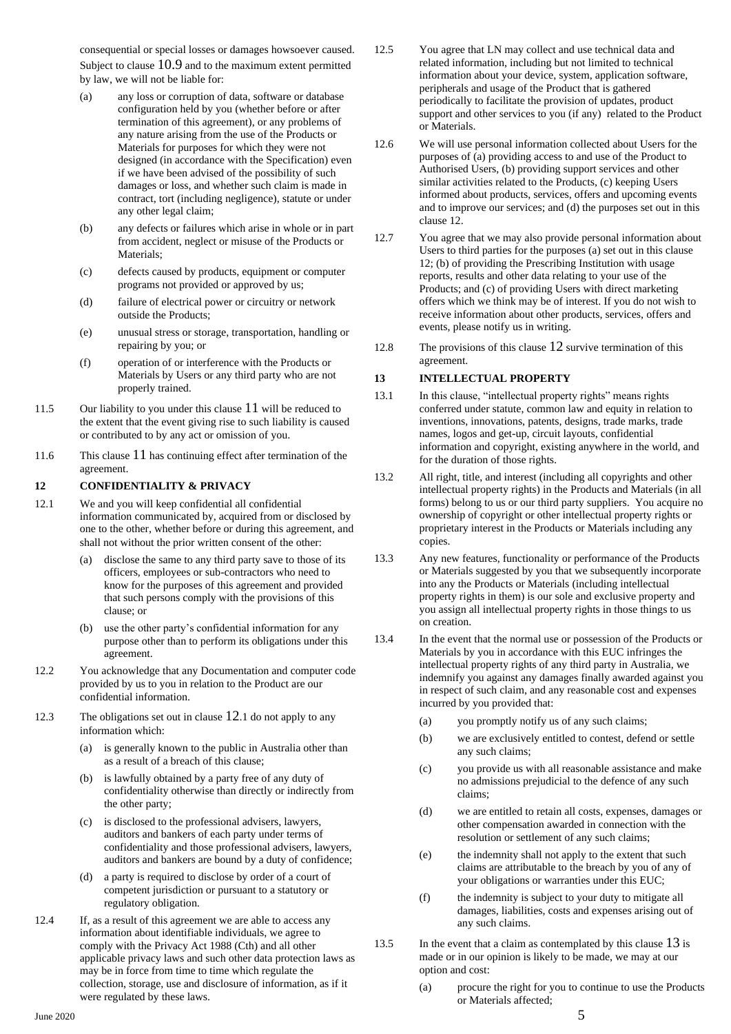consequential or special losses or damages howsoever caused. Subject to clause [10.9](#page-2-1) and to the maximum extent permitted by law, we will not be liable for:

- (a) any loss or corruption of data, software or database configuration held by you (whether before or after termination of this agreement), or any problems of any nature arising from the use of the Products or Materials for purposes for which they were not designed (in accordance with the Specification) even if we have been advised of the possibility of such damages or loss, and whether such claim is made in contract, tort (including negligence), statute or under any other legal claim;
- (b) any defects or failures which arise in whole or in part from accident, neglect or misuse of the Products or Materials;
- (c) defects caused by products, equipment or computer programs not provided or approved by us;
- (d) failure of electrical power or circuitry or network outside the Products;
- (e) unusual stress or storage, transportation, handling or repairing by you; or
- (f) operation of or interference with the Products or Materials by Users or any third party who are not properly trained.
- 11.5 Our liability to you under this clause [11](#page-2-4) will be reduced to the extent that the event giving rise to such liability is caused or contributed to by any act or omission of you.
- 11.6 This clause [11](#page-2-4) has continuing effect after termination of the agreement.

### <span id="page-3-0"></span>**12 CONFIDENTIALITY & PRIVACY**

- 12.1 We and you will keep confidential all confidential information communicated by, acquired from or disclosed by one to the other, whether before or during this agreement, and shall not without the prior written consent of the other:
	- (a) disclose the same to any third party save to those of its officers, employees or sub-contractors who need to know for the purposes of this agreement and provided that such persons comply with the provisions of this clause; or
	- (b) use the other party's confidential information for any purpose other than to perform its obligations under this agreement.
- 12.2 You acknowledge that any Documentation and computer code provided by us to you in relation to the Product are our confidential information.
- 12.3 The obligations set out in clause [12](#page-3-0).1 do not apply to any information which:
	- (a) is generally known to the public in Australia other than as a result of a breach of this clause;
	- (b) is lawfully obtained by a party free of any duty of confidentiality otherwise than directly or indirectly from the other party;
	- (c) is disclosed to the professional advisers, lawyers, auditors and bankers of each party under terms of confidentiality and those professional advisers, lawyers, auditors and bankers are bound by a duty of confidence;
	- (d) a party is required to disclose by order of a court of competent jurisdiction or pursuant to a statutory or regulatory obligation.
- 12.4 If, as a result of this agreement we are able to access any information about identifiable individuals, we agree to comply with the Privacy Act 1988 (Cth) and all other applicable privacy laws and such other data protection laws as may be in force from time to time which regulate the collection, storage, use and disclosure of information, as if it were regulated by these laws.
- 12.5 You agree that LN may collect and use technical data and related information, including but not limited to technical information about your device, system, application software, peripherals and usage of the Product that is gathered periodically to facilitate the provision of updates, product support and other services to you (if any) related to the Product or Materials.
- 12.6 We will use personal information collected about Users for the purposes of (a) providing access to and use of the Product to Authorised Users, (b) providing support services and other similar activities related to the Products, (c) keeping Users informed about products, services, offers and upcoming events and to improve our services; and (d) the purposes set out in this clause 12.
- 12.7 You agree that we may also provide personal information about Users to third parties for the purposes (a) set out in this clause 12; (b) of providing the Prescribing Institution with usage reports, results and other data relating to your use of the Products; and (c) of providing Users with direct marketing offers which we think may be of interest. If you do not wish to receive information about other products, services, offers and events, please notify us in writing.
- [12](#page-3-0).8 The provisions of this clause 12 survive termination of this agreement.

### <span id="page-3-1"></span>**13 INTELLECTUAL PROPERTY**

- 13.1 In this clause, "intellectual property rights" means rights conferred under statute, common law and equity in relation to inventions, innovations, patents, designs, trade marks, trade names, logos and get-up, circuit layouts, confidential information and copyright, existing anywhere in the world, and for the duration of those rights.
- 13.2 All right, title, and interest (including all copyrights and other intellectual property rights) in the Products and Materials (in all forms) belong to us or our third party suppliers. You acquire no ownership of copyright or other intellectual property rights or proprietary interest in the Products or Materials including any copies.
- 13.3 Any new features, functionality or performance of the Products or Materials suggested by you that we subsequently incorporate into any the Products or Materials (including intellectual property rights in them) is our sole and exclusive property and you assign all intellectual property rights in those things to us on creation.
- 13.4 In the event that the normal use or possession of the Products or Materials by you in accordance with this EUC infringes the intellectual property rights of any third party in Australia, we indemnify you against any damages finally awarded against you in respect of such claim, and any reasonable cost and expenses incurred by you provided that:
	- (a) you promptly notify us of any such claims;
	- (b) we are exclusively entitled to contest, defend or settle any such claims;
	- (c) you provide us with all reasonable assistance and make no admissions prejudicial to the defence of any such claims;
	- (d) we are entitled to retain all costs, expenses, damages or other compensation awarded in connection with the resolution or settlement of any such claims;
	- (e) the indemnity shall not apply to the extent that such claims are attributable to the breach by you of any of your obligations or warranties under this EUC;
	- (f) the indemnity is subject to your duty to mitigate all damages, liabilities, costs and expenses arising out of any such claims.
- <span id="page-3-2"></span>[13](#page-3-1).5 In the event that a claim as contemplated by this clause 13 is made or in our opinion is likely to be made, we may at our option and cost:
	- (a) procure the right for you to continue to use the Products or Materials affected;